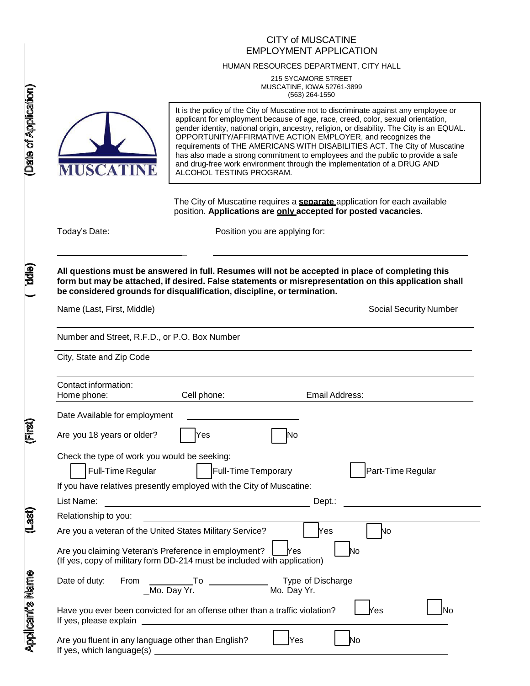# CITY of MUSCATINE EMPLOYMENT APPLICATION

#### HUMAN RESOURCES DEPARTMENT, CITY HALL

215 SYCAMORE STREET MUSCATINE, IOWA 52761-3899 (563) 264-1550



It is the policy of the City of Muscatine not to discriminate against any employee or applicant for employment because of age, race, creed, color, sexual orientation, gender identity, national origin, ancestry, religion, or disability. The City is an EQUAL. OPPORTUNITY/AFFIRMATIVE ACTION EMPLOYER, and recognizes the requirements of THE AMERICANS WITH DISABILITIES ACT. The City of Muscatine has also made a strong commitment to employees and the public to provide a safe and drug-free work environment through the implementation of a DRUG AND ALCOHOL TESTING PROGRAM.

The City of Muscatine requires a **separate** application for each available position. **Applications are only accepted for posted vacancies**.

Today's Date: **Position** you are applying for:

**All questions must be answered in full. Resumes will not be accepted in place of completing this form but may be attached, if desired. False statements or misrepresentation on this application shall be considered grounds for disqualification, discipline, or termination.**

Name (Last, First, Middle) Social Security Number

Number and Street, R.F.D., or P.O. Box Number

 $\overline{a}$ 

City, State and Zip Code

| Contact information:                         |                                                                                                                                  |                   |
|----------------------------------------------|----------------------------------------------------------------------------------------------------------------------------------|-------------------|
| Home phone:                                  | Cell phone:                                                                                                                      | Email Address:    |
| Date Available for employment                |                                                                                                                                  |                   |
| Are you 18 years or older?                   | Yes                                                                                                                              | lNo               |
| Check the type of work you would be seeking: |                                                                                                                                  |                   |
| <b>Full-Time Regular</b>                     | <b>Full-Time Temporary</b>                                                                                                       | Part-Time Regular |
|                                              | If you have relatives presently employed with the City of Muscatine:                                                             |                   |
| List Name:                                   |                                                                                                                                  | Dept.:            |
| Relationship to you:                         |                                                                                                                                  |                   |
|                                              | Are you a veteran of the United States Military Service?                                                                         | No<br>Yes         |
|                                              | Are you claiming Veteran's Preference in employment?<br>(If yes, copy of military form DD-214 must be included with application) | <b>Nes</b><br>No  |
| Date of duty:                                |                                                                                                                                  |                   |
|                                              | Have you ever been convicted for an offense other than a traffic violation?                                                      | 'es<br>N٥         |
|                                              | Are you fluent in any language other than English?                                                                               | Yes<br>No         |

**BIG)** 

(Lasi

**Applicant's Name**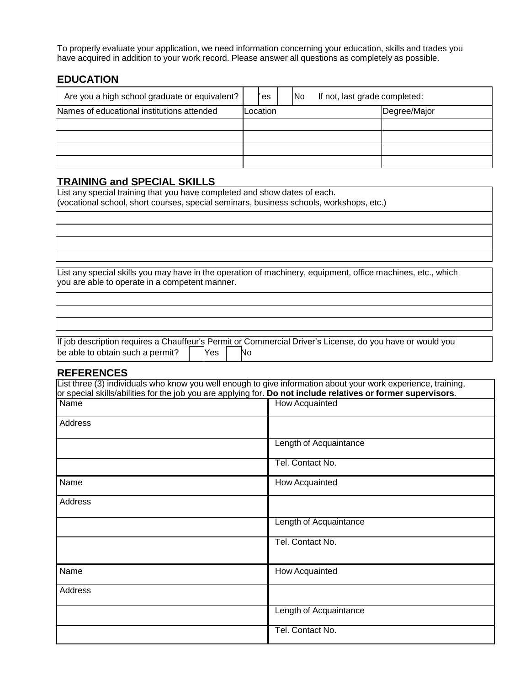To properly evaluate your application, we need information concerning your education, skills and trades you have acquired in addition to your work record. Please answer all questions as completely as possible.

# **EDUCATION**

| Are you a high school graduate or equivalent? | es       | N <sub>o</sub> | If not, last grade completed: |              |
|-----------------------------------------------|----------|----------------|-------------------------------|--------------|
| Names of educational institutions attended    | Location |                |                               | Degree/Major |
|                                               |          |                |                               |              |
|                                               |          |                |                               |              |
|                                               |          |                |                               |              |
|                                               |          |                |                               |              |

# **TRAINING and SPECIAL SKILLS**

List any special training that you have completed and show dates of each. (vocational school, short courses, special seminars, business schools, workshops, etc.)

List any special skills you may have in the operation of machinery, equipment, office machines, etc., which you are able to operate in a competent manner.

Yes If job description requires a Chauffeur's Permit or Commercial Driver's License, do you have or would you be able to obtain such a permit? Yes No

## **REFERENCES**

| List three (3) individuals who know you well enough to give information about your work experience, training,<br>or special skills/abilities for the job you are applying for. Do not include relatives or former supervisors. |                        |
|--------------------------------------------------------------------------------------------------------------------------------------------------------------------------------------------------------------------------------|------------------------|
| <b>Name</b>                                                                                                                                                                                                                    | <b>How Acquainted</b>  |
| Address                                                                                                                                                                                                                        |                        |
|                                                                                                                                                                                                                                | Length of Acquaintance |
|                                                                                                                                                                                                                                | Tel. Contact No.       |
| Name                                                                                                                                                                                                                           | How Acquainted         |
| Address                                                                                                                                                                                                                        |                        |
|                                                                                                                                                                                                                                | Length of Acquaintance |
|                                                                                                                                                                                                                                | Tel. Contact No.       |
| Name                                                                                                                                                                                                                           | How Acquainted         |
| Address                                                                                                                                                                                                                        |                        |
|                                                                                                                                                                                                                                | Length of Acquaintance |
|                                                                                                                                                                                                                                | Tel. Contact No.       |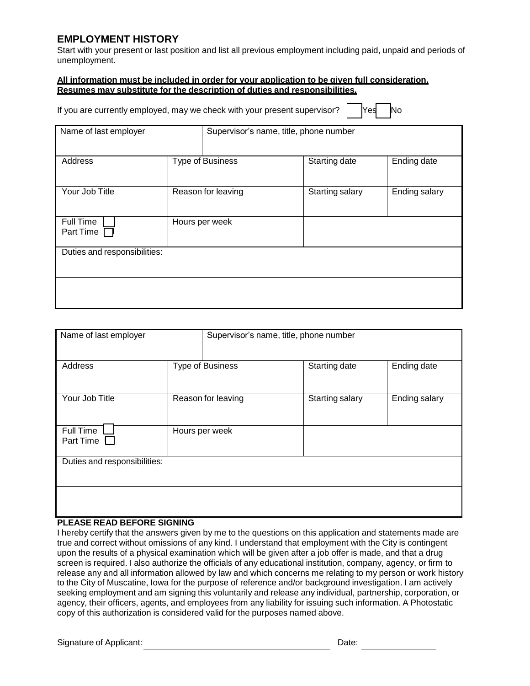# **EMPLOYMENT HISTORY**

Start with your present or last position and list all previous employment including paid, unpaid and periods of unemployment.

#### **All information must be included in order for your application to be given full consideration. Resumes may substitute for the description of duties and responsibilities.**

| If you are currently employed, may we check with your present supervisor? $\Box$ Yes $\Box$ No |  |  |  |  |
|------------------------------------------------------------------------------------------------|--|--|--|--|
|------------------------------------------------------------------------------------------------|--|--|--|--|

| Name of last employer        |                         | Supervisor's name, title, phone number |                 |               |  |
|------------------------------|-------------------------|----------------------------------------|-----------------|---------------|--|
| Address                      | <b>Type of Business</b> |                                        | Starting date   | Ending date   |  |
| Your Job Title               | Reason for leaving      |                                        | Starting salary | Ending salary |  |
| Full Time<br>Part Time       | Hours per week          |                                        |                 |               |  |
| Duties and responsibilities: |                         |                                        |                 |               |  |
|                              |                         |                                        |                 |               |  |

| Name of last employer        |                         | Supervisor's name, title, phone number |                 |               |  |
|------------------------------|-------------------------|----------------------------------------|-----------------|---------------|--|
| Address                      | <b>Type of Business</b> |                                        | Starting date   | Ending date   |  |
| Your Job Title               | Reason for leaving      |                                        | Starting salary | Ending salary |  |
| Full Time<br>Part Time       | Hours per week          |                                        |                 |               |  |
| Duties and responsibilities: |                         |                                        |                 |               |  |
|                              |                         |                                        |                 |               |  |

### **PLEASE READ BEFORE SIGNING**

I hereby certify that the answers given by me to the questions on this application and statements made are true and correct without omissions of any kind. I understand that employment with the City is contingent upon the results of a physical examination which will be given after a job offer is made, and that a drug screen is required. I also authorize the officials of any educational institution, company, agency, or firm to release any and all information allowed by law and which concerns me relating to my person or work history to the City of Muscatine, Iowa for the purpose of reference and/or background investigation. I am actively seeking employment and am signing this voluntarily and release any individual, partnership, corporation, or agency, their officers, agents, and employees from any liability for issuing such information. A Photostatic copy of this authorization is considered valid for the purposes named above.

Signature of Applicant: **Date:** Date: Date: Date: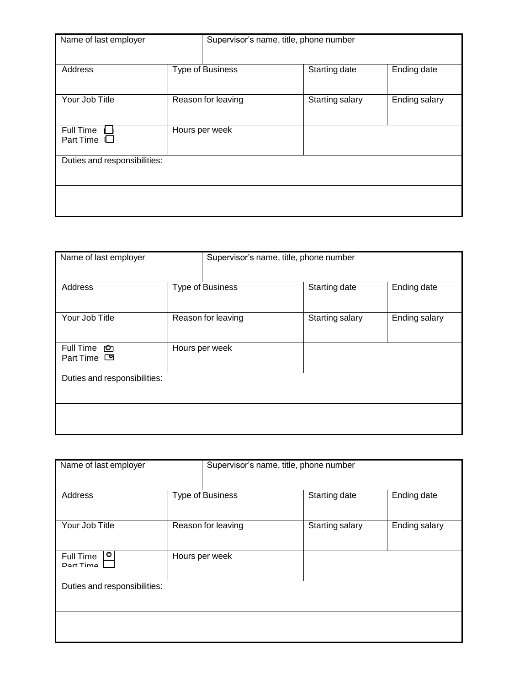| Name of last employer         |                         |  | Supervisor's name, title, phone number |               |
|-------------------------------|-------------------------|--|----------------------------------------|---------------|
| Address                       | <b>Type of Business</b> |  | Starting date                          | Ending date   |
| Your Job Title                | Reason for leaving      |  | Starting salary                        | Ending salary |
| Full Time<br>Part Time $\Box$ | Hours per week          |  |                                        |               |
| Duties and responsibilities:  |                         |  |                                        |               |
|                               |                         |  |                                        |               |

| Name of last employer                 |                         | Supervisor's name, title, phone number |                 |               |  |
|---------------------------------------|-------------------------|----------------------------------------|-----------------|---------------|--|
|                                       |                         |                                        |                 |               |  |
| Address                               | <b>Type of Business</b> |                                        | Starting date   | Ending date   |  |
| Your Job Title                        | Reason for leaving      |                                        | Starting salary | Ending salary |  |
| Full Time ©<br>Part Time <sup>o</sup> | Hours per week          |                                        |                 |               |  |
| Duties and responsibilities:          |                         |                                        |                 |               |  |
|                                       |                         |                                        |                 |               |  |

| Name of last employer               |                | Supervisor's name, title, phone number |                 |               |  |
|-------------------------------------|----------------|----------------------------------------|-----------------|---------------|--|
|                                     |                |                                        |                 |               |  |
| Address                             |                | <b>Type of Business</b>                | Starting date   | Ending date   |  |
|                                     |                |                                        |                 |               |  |
| Your Job Title                      |                | Reason for leaving                     | Starting salary | Ending salary |  |
|                                     |                |                                        |                 |               |  |
| $\bullet$<br>Full Time<br>Dort Time | Hours per week |                                        |                 |               |  |
|                                     |                |                                        |                 |               |  |
| Duties and responsibilities:        |                |                                        |                 |               |  |
|                                     |                |                                        |                 |               |  |
|                                     |                |                                        |                 |               |  |
|                                     |                |                                        |                 |               |  |